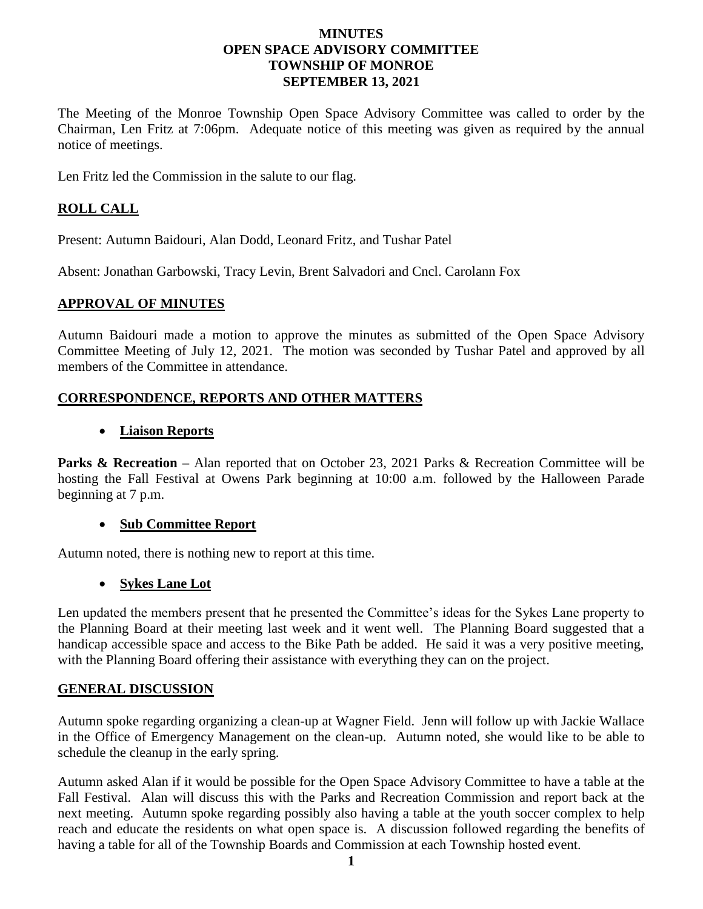### **MINUTES OPEN SPACE ADVISORY COMMITTEE TOWNSHIP OF MONROE SEPTEMBER 13, 2021**

The Meeting of the Monroe Township Open Space Advisory Committee was called to order by the Chairman, Len Fritz at 7:06pm. Adequate notice of this meeting was given as required by the annual notice of meetings.

Len Fritz led the Commission in the salute to our flag.

# **ROLL CALL**

Present: Autumn Baidouri, Alan Dodd, Leonard Fritz, and Tushar Patel

Absent: Jonathan Garbowski, Tracy Levin, Brent Salvadori and Cncl. Carolann Fox

### **APPROVAL OF MINUTES**

Autumn Baidouri made a motion to approve the minutes as submitted of the Open Space Advisory Committee Meeting of July 12, 2021. The motion was seconded by Tushar Patel and approved by all members of the Committee in attendance.

## **CORRESPONDENCE, REPORTS AND OTHER MATTERS**

### • **Liaison Reports**

Parks & Recreation – Alan reported that on October 23, 2021 Parks & Recreation Committee will be hosting the Fall Festival at Owens Park beginning at 10:00 a.m. followed by the Halloween Parade beginning at 7 p.m.

## • **Sub Committee Report**

Autumn noted, there is nothing new to report at this time.

## • **Sykes Lane Lot**

Len updated the members present that he presented the Committee's ideas for the Sykes Lane property to the Planning Board at their meeting last week and it went well. The Planning Board suggested that a handicap accessible space and access to the Bike Path be added. He said it was a very positive meeting, with the Planning Board offering their assistance with everything they can on the project.

## **GENERAL DISCUSSION**

Autumn spoke regarding organizing a clean-up at Wagner Field. Jenn will follow up with Jackie Wallace in the Office of Emergency Management on the clean-up. Autumn noted, she would like to be able to schedule the cleanup in the early spring.

Autumn asked Alan if it would be possible for the Open Space Advisory Committee to have a table at the Fall Festival. Alan will discuss this with the Parks and Recreation Commission and report back at the next meeting. Autumn spoke regarding possibly also having a table at the youth soccer complex to help reach and educate the residents on what open space is. A discussion followed regarding the benefits of having a table for all of the Township Boards and Commission at each Township hosted event.